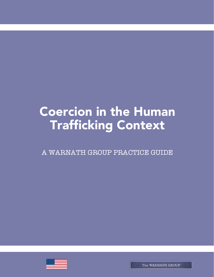# **Coercion in the Human** Trafficking Context

A WARNATH GROUP PRACTICE GUIDE



The WARNATH GROUP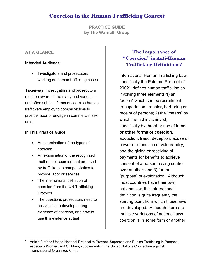# **Coercion in the Human Trafficking Context**

**PRACTICE GUIDE by The Warnath Group**

#### **AT A GLANCE**

#### **Intended Audience**:

• Investigators and prosecutors working on human trafficking cases.

**Takeaway**: Investigators and prosecutors must be aware of the many and various and often subtle—forms of coercion human traffickers employ to compel victims to provide labor or engage in commercial sex acts.

#### **In This Practice Guide**:

- An examination of the types of coercion
- An examination of the recognized methods of coercion that are used by traffickers to compel victims to provide labor or services
- The international definition of coercion from the UN Trafficking Protocol
- The questions prosecutors need to ask victims to develop strong evidence of coercion, and how to use this evidence at trial

## **The Importance of "Coercion" in Anti-Human Trafficking Definitions?**

International Human Trafficking Law, specifically the Palermo Protocol of 20021, defines human trafficking as involving three elements 1) an "action" which can be recruitment, transportation, transfer, harboring or receipt of persons; 2) the "means" by which the act is achieved, specifically by threat or use of force **or other forms of coercion**, abduction, fraud, deception, abuse of power or a position of vulnerability, and the giving or receiving of payments for benefits to achieve consent of a person having control over another; and 3) for the "purpose" of exploitation. Although most countries have their own national law, this international definition is quite frequently the starting point from which those laws are developed. Although there are multiple variations of national laws, coercion is in some form or another

<sup>1</sup> Article 3 of the United National Protocol to Prevent, Suppress and Punish Trafficking in Persons, especially Women and Children, supplementing the United Nations Convention against Transnational Organized Crime.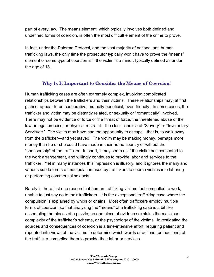part of every law. The means element, which typically involves both defined and undefined forms of coercion, is often the most difficult element of the crime to prove.

In fact, under the Palermo Protocol, and the vast majority of national anti-human trafficking laws, the only time the prosecutor typically won't have to prove the "means" element or some type of coercion is if the victim is a minor, typically defined as under the age of 18.

#### **Why Is It Important to Consider the Means of Coercion**?

Human trafficking cases are often extremely complex, involving complicated relationships between the traffickers and their victims. These relationships may, at first glance, appear to be cooperative, mutually beneficial, even friendly. In some cases, the trafficker and victim may be distantly related, or sexually or "romantically" involved. There may not be evidence of force or the threat of force, the threatened abuse of the law or legal process, or physical restraint—the classic indicia of "Slavery" or "Involuntary Servitude." The victim may have had the opportunity to escape—that is, to walk away from the trafficker—and yet stayed. The victim may be making money, perhaps more money than he or she could have made in their home country or without the "sponsorship" of the trafficker. In short, it may seem as if the victim has consented to the work arrangement, and willingly continues to provide labor and services to the trafficker. Yet in many instances this impression is illusory, and it ignores the many and various subtle forms of manipulation used by traffickers to coerce victims into laboring or performing commercial sex acts.

Rarely is there just one reason that human trafficking victims feel compelled to work, unable to just say no to their traffickers. It is the exceptional trafficking case where the compulsion is explained by whips or chains. Most often traffickers employ multiple forms of coercion, so that analyzing the "means" of a trafficking case is a bit like assembling the pieces of a puzzle; no one piece of evidence explains the malicious complexity of the trafficker's scheme, or the psychology of the victims. Investigating the sources and consequences of coercion is a time-intensive effort, requiring patient and repeated interviews of the victims to determine which words or actions (or inactions) of the trafficker compelled them to provide their labor or services.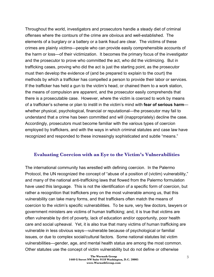Throughout the world, investigators and prosecutors handle a steady diet of criminal offenses where the contours of the crime are obvious and well-established. The elements of a burglary or a battery or a bank fraud are clear. The victims of these crimes are plainly *victims*—people who can provide easily comprehensible accounts of the harm or loss—of their victimization. It becomes the primary focus of the investigator and the prosecutor to prove who committed the act, who did the victimizing. But in trafficking cases, proving who did the act is just the starting point, as the prosecutor must then develop the evidence of (and be prepared to explain to the court) the methods by which a trafficker has compelled a person to provide their labor or services. If the trafficker has held a gun to the victim's head, or chained them to a work station, the means of compulsion are apparent, and the prosecutor easily comprehends that there is a prosecutable case. However, where the victim is coerced to work by means of a trafficker's scheme or plan to instill in the victim's mind with **fear of serious harm** whether physical, psychological, financial or reputational—the prosecutor may fail to understand that a crime has been committed and will (inappropriately) decline the case. Accordingly, prosecutors must become familiar with the various types of coercion employed by traffickers, and with the ways in which criminal statutes and case law have recognized and responded to these increasingly sophisticated and subtle "means."

#### **Evaluating Coercion with an Eye to the Victim's Vulnerabilities**

The international community has wrestled with defining coercion. In the Palermo Protocol, the UN recognized the concept of "abuse of a position of (victim) vulnerability," and many of the national anti-trafficking laws that flowed from the Palermo formulation have used this language. This is not the identification of a specific form of coercion, but rather a recognition that traffickers prey on the most vulnerable among us, that this vulnerability can take many forms, and that traffickers often match the means of coercion to the victim's specific vulnerabilities. To be sure, very few doctors, lawyers or government ministers are victims of human trafficking; and, it is true that victims are often vulnerable by dint of poverty, lack of education and/or opportunity, poor health care and social upheaval. Yet, it is also true that many victims of human trafficking are vulnerable in less obvious ways—vulnerable because of psychological or familial issues, or due to complex social/cultural factors. Some national statutes list victim vulnerabilities—gender, age, and mental health status are among the most common. Other statutes use the concept of victim vulnerability but do not define or otherwise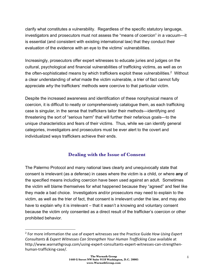clarify what constitutes a vulnerability. Regardless of the specific statutory language, investigators and prosecutors must not assess the "means of coercion" in a vacuum—it is essential (and consistent with existing international law) that they conduct their evaluation of the evidence with an eye to the victims' vulnerabilities.

Increasingly, prosecutors offer expert witnesses to educate juries and judges on the cultural, psychological and financial vulnerabilities of trafficking victims, as well as on the often-sophisticated means by which traffickers exploit these vulnerabilities.<sup>2</sup> Without a clear understanding of *what* made the victim vulnerable, a trier of fact cannot fully appreciate *why* the traffickers' methods were coercive to that particular victim.

Despite the increased awareness and identification of these nonphysical means of coercion, it is difficult to neatly or comprehensively catalogue them, as each trafficking case is singular, in the sense that traffickers tailor their methods—identifying and threatening the sort of "serious harm" that will further their nefarious goals—to the unique characteristics and fears of their victims. Thus, while we can identify general categories, investigators and prosecutors must be ever alert to the covert and individualized ways traffickers achieve their ends.

#### **Dealing with the Issue of Consent**

The Palermo Protocol and many national laws clearly and unequivocally state that consent is irrelevant (as a defense) in cases where the victim is a child, or where **any** of the specified means including coercion have been used against an adult. Sometimes the victim will blame themselves for what happened because they "agreed" and feel like they made a bad choice. Investigators and/or prosecutors may need to explain to the victim, as well as the trier of fact, that consent is irrelevant under the law, and may also have to explain why it is irrelevant – that it wasn't a knowing and voluntary consent because the victim only consented as a direct result of the trafficker's coercion or other prohibited behavior.

 $\overline{a}$ 

<sup>2</sup> For more information the use of expert witnesses see the Practice Guide *How Using Expert Consultants & Expert Witnesses Can Strengthen Your Human Trafficking Case* available at http://www.warnathgroup.com/using-expert-consultants-expert-witnesses-can-strengthenhuman-trafficking-case/.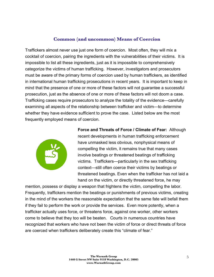#### **Common (and uncommon) Means of Coercion**

Traffickers almost never use just one form of coercion. Most often, they will mix a cocktail of coercion, pairing the ingredients with the vulnerabilities of their victims. It is impossible to list all these ingredients, just as it is impossible to comprehensively categorize the victims of human trafficking. However, investigators and prosecutors must be aware of the primary forms of coercion used by human traffickers, as identified in international human trafficking prosecutions in recent years. It is important to keep in mind that the presence of one or more of these factors will not guarantee a successful prosecution, just as the absence of one or more of these factors will not doom a case. Trafficking cases require prosecutors to analyze the totality of the evidence—carefully examining all aspects of the relationship between trafficker and victim—to determine whether they have evidence sufficient to prove the case. Listed below are the most frequently employed means of coercion.



**Force and Threats of Force / Climate of Fear:** Although recent developments in human trafficking enforcement have unmasked less obvious, nonphysical means of compelling the victim, it remains true that many cases involve beatings or threatened beatings of trafficking victims. Traffickers—particularly in the sex trafficking context—still often coerce their victims by beatings or threatened beatings. Even when the trafficker has not laid a hand on the victim, or directly threatened force, he may

mention, possess or display a weapon that frightens the victim, compelling the labor. Frequently, traffickers mention the beatings or punishments of previous victims, creating in the mind of the workers the reasonable expectation that the same fate will befall them if they fail to perform the work or provide the services. Even more potently, when a trafficker actually uses force, or threatens force, against one worker, other workers come to believe that they too will be beaten. Courts in numerous countries have recognized that workers who have not been the victim of force or direct threats of force are coerced when traffickers deliberately create this "climate of fear."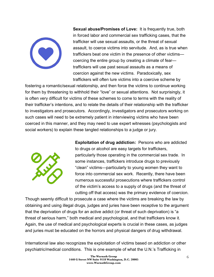

**Sexual abuse/Promises of Love:** It is frequently true, both in forced labor and commercial sex trafficking cases, that the trafficker will use sexual assaults, or the threat of sexual assault, to coerce victims into servitude. And, as is true when traffickers beat one victim in the presence of other victims coercing the entire group by creating a climate of fear traffickers will use past sexual assaults as a means of coercion against the new victims. Paradoxically, sex traffickers will often lure victims into a coercive scheme by

fostering a romantic/sexual relationship, and then force the victims to continue working for them by threatening to withhold their "love" or sexual attentions. Not surprisingly, it is often very difficult for victims of these schemes to come to terms with the reality of their trafficker's intentions, and to relate the details of their relationship with the trafficker to investigators and prosecutors. Accordingly, investigators and prosecutors working on such cases will need to be extremely patient in interviewing victims who have been coerced in this manner, and they may need to use expert witnesses (psychologists and social workers) to explain these tangled relationships to a judge or jury.



**Exploitation of drug addiction:** Persons who are addicted to drugs or alcohol are easy targets for traffickers, particularly those operating in the commercial sex trade. In some instances, traffickers introduce drugs to previously "clean" victims—particularly to young women they want to force into commercial sex work. Recently, there have been numerous successful prosecutions where traffickers control of the victim's access to a supply of drugs (and the threat of cutting off that access) was the primary evidence of coercion.

Though seemly difficult to prosecute a case where the victims are breaking the law by obtaining and using illegal drugs, judges and juries have been receptive to the argument that the deprivation of drugs for an active addict (or threat of such deprivation) is "a threat of serious harm," both medical and psychological, and that traffickers know it. Again, the use of medical and psychological experts is crucial in these cases, as judges and juries must be educated on the horrors and physical dangers of drug withdrawal.

International law also recognizes the exploitation of victims based on addiction or other psychiatric/medical conditions. This is one example of what the U.N.'s Trafficking in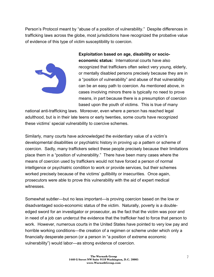Person's Protocol meant by "abuse of a position of vulnerability." Despite differences in trafficking laws across the globe, most jurisdictions have recognized the probative value of evidence of this type of victim susceptibility to coercion.



**Exploitation based on age, disability or socioeconomic status:** International courts have also recognized that traffickers often select very young, elderly, or mentally disabled persons precisely because they are in a "position of vulnerability" and abuse of that vulnerability can be an easy path to coercion. As mentioned above, in cases involving minors there is typically no need to prove means, in part because there is a presumption of coercion based upon the youth of victims. This is true of many

national anti-trafficking laws. Moreover, even where a person has reached legal adulthood, but is in their late teens or early twenties, some courts have recognized these victims' special vulnerability to coercive schemes.

Similarly, many courts have acknowledged the evidentiary value of a victim's developmental disabilities or psychiatric history in proving up a pattern or scheme of coercion. Sadly, many traffickers select these people precisely because their limitations place them in a "position of vulnerability." There have been many cases where the means of coercion used by traffickers would not have forced a person of normal intelligence or psychiatric condition to work or provide services, but their schemes worked precisely because of the victims' gullibility or insecurities. Once again, prosecutors were able to prove this vulnerability with the aid of expert medical witnesses.

Somewhat subtler—but no less important—is proving coercion based on the low or disadvantaged socio-economic status of the victim. Naturally, poverty is a doubleedged sword for an investigator or prosecutor, as the fact that the victim was poor and in need of a job can undercut the evidence that the trafficker had to force that person to work. However, numerous courts in the United States have pointed to very low pay and horrible working conditions—the creation of a regimen or scheme under which only a financially desperate person (or a person in "a position of extreme economic vulnerability") would labor—as strong evidence of coercion.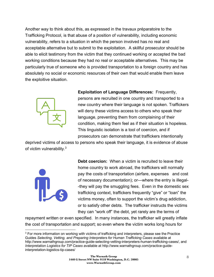Another way to think about this, as expressed in the travaux préparatoire to the Trafficking Protocol, is that abuse of a position of vulnerability, including economic vulnerability, refers to a situation in which the person involved has no real and acceptable alternative but to submit to the exploitation. A skillful prosecutor should be able to elicit testimony from the victim that they continued working or accepted the bad working conditions because they had no real or acceptable alternatives. This may be particularly true of someone who is provided transportation to a foreign country and has absolutely no social or economic resources of their own that would enable them leave the exploitive situation.



**Exploitation of Language Differences:** Frequently, persons are recruited in one country and transported to a new country where their language is not spoken. Traffickers will deny these victims access to others who speak their language, preventing them from complaining of their condition, making them feel as if their situation is hopeless. This linguistic isolation is a tool of coercion, and if prosecutors can demonstrate that traffickers intentionally

deprived victims of access to persons who speak their language, it is evidence of abuse of victim vulnerability.<sup>3</sup>



 $\overline{\phantom{a}}$ 

**Debt coercion:** When a victim is recruited to leave their home country to work abroad, the traffickers will normally pay the costs of transportation (airfare, expenses and cost of necessary documentation); or—where the entry is illegal- -they will pay the smuggling fees. Even in the domestic sex trafficking context, traffickers frequently "give" or "loan" the victims money, often to support the victim's drug addiction, or to satisfy other debts. The trafficker instructs the victims they can "work off" the debt, yet rarely are the terms of

repayment written or even specified. In many instances, the trafficker will greatly inflate the cost of transportation and support; so even where the victim works long hours for

<sup>&</sup>lt;sup>3</sup> For more information on working with victims of trafficking and interpreters, please see the Practice Guides *Selecting, Vetting, and Preparing Interpreters for Human Trafficking Cases* available at http://www.warnathgroup.com/practice-guide-selecting-vetting-interpreters-human-trafficking-cases/, and *Interpretation Logistics for TIP Cases* available at http://www.warnathgroup.com/practice-guideinterpretation-logistics-tip-cases/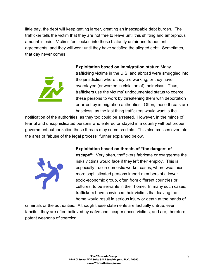little pay, the debt will keep getting larger, creating an inescapable debt burden. The trafficker tells the victim that they are not free to leave until this shifting and amorphous amount is paid. Victims feel locked into these blatantly unfair and fraudulent agreements, and they will work until they have satisfied the alleged debt. Sometimes, that day never comes.



**Exploitation based on immigration status:** Many trafficking victims in the U.S. and abroad were smuggled into the jurisdiction where they are working, or they have overstayed (or worked in violation of) their visas. Thus, traffickers use the victims' undocumented status to coerce these persons to work by threatening them with deportation or arrest by immigration authorities. Often, these threats are baseless, as the last thing traffickers would want is the

notification of the authorities, as they too could be arrested. However, in the minds of fearful and unsophisticated persons who entered or stayed in a country without proper government authorization these threats may seem credible. This also crosses over into the area of "abuse of the legal process" further explained below.



**Exploitation based on threats of "the dangers of** 

**escape":** Very often, traffickers fabricate or exaggerate the risks victims would face if they left their employ. This is especially true in domestic worker cases, where wealthier, more sophisticated persons import members of a lower socio-economic group, often from different countries or cultures, to be servants in their home. In many such cases, traffickers have convinced their victims that leaving the home would result in serious injury or death at the hands of

criminals or the authorities. Although these statements are factually untrue, even fanciful, they are often believed by naïve and inexperienced victims, and are, therefore, potent weapons of coercion.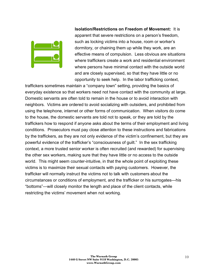

**Isolation/Restrictions on Freedom of Movement:** It is apparent that severe restrictions on a person's freedom, such as locking victims into a house, room or worker's dormitory, or chaining them up while they work, are an effective means of compulsion. Less obvious are situations where traffickers create a work and residential environment where persons have minimal contact with the outside world and are closely supervised, so that they have little or no opportunity to seek help. In the labor trafficking context,

traffickers sometimes maintain a "company town" setting, providing the basics of everyday existence so that workers need not have contact with the community at large. Domestic servants are often told to remain in the house or to avoid interaction with neighbors. Victims are ordered to avoid socializing with outsiders, and prohibited from using the telephone, internet or other forms of communication. When visitors do come to the house, the domestic servants are told not to speak, or they are told by the traffickers how to respond if anyone asks about the terms of their employment and living conditions. Prosecutors must pay close attention to these instructions and fabrications by the traffickers, as they are not only evidence of the victim's confinement, but they are powerful evidence of the trafficker's "consciousness of guilt." In the sex trafficking context, a more trusted senior worker is often recruited (and rewarded) for supervising the other sex workers, making sure that they have little or no access to the outside world. This might seem counter-intuitive, in that the whole point of exploiting these victims is to maximize their sexual contacts with paying customers. However, the trafficker will normally instruct the victims not to talk with customers about the circumstances or conditions of employment, and the trafficker or his surrogates—his "bottoms"—will closely monitor the length and place of the client contacts, while restricting the victims' movement when not working.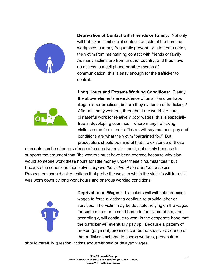

**Deprivation of Contact with Friends or Family:** Not only will traffickers limit social contacts outside of the home or workplace, but they frequently prevent, or attempt to deter, the victim from maintaining contact with friends or family. As many victims are from another country, and thus have no access to a cell phone or other means of communication, this is easy enough for the trafficker to control.



**Long Hours and Extreme Working Conditions:** Clearly, the above elements are evidence of unfair (and perhaps illegal) labor practices, but are they evidence of trafficking? After all, many workers, throughout the world, do hard, distasteful work for relatively poor wages; this is especially true in developing countries—where many trafficking victims come from—so traffickers will say that poor pay and conditions are what the victim "bargained for." But prosecutors should be mindful that the existence of these

elements can be strong evidence of a coercive environment, not simply because it supports the argument that "the workers must have been coerced because why else would someone work these hours for little money under these circumstances," but because the conditions themselves *deprive the victim of the freedom of choice*. Prosecutors should ask questions that probe the ways in which the victim's will to resist was worn down by long work hours and onerous working conditions.



**Deprivation of Wages:** Traffickers will withhold promised wages to force a victim to continue to provide labor or services. The victim may be destitute, relying on the wages for sustenance, or to send home to family members, and, accordingly, will continue to work in the desperate hope that the trafficker will eventually pay up. Because a pattern of broken (payment) promises can be persuasive evidence of the trafficker's scheme to coerce workers, prosecutors

should carefully question victims about withheld or delayed wages.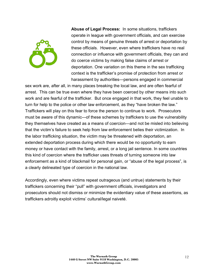

**Abuse of Legal Process:** In some situations, traffickers operate in league with government officials, and can exercise control by means of genuine threats of arrest or deportation by these officials. However, even where traffickers have no real connection or influence with government officials, they can and do coerce victims by making false claims of arrest or deportation. One variation on this theme in the sex trafficking context is the trafficker's promise of protection from arrest or harassment by authorities—persons engaged in commercial

sex work are, after all, in many places breaking the local law, and are often fearful of arrest. This can be true even where they have been coerced by other means into such work and are fearful of the trafficker. But once engaged in that work, they feel unable to turn for help to the police or other law enforcement, as they "have broken the law." Traffickers will play on this fear to force the person to continue to work. Prosecutors must be aware of this dynamic—of these schemes by traffickers to use the vulnerability they themselves have created as a means of coercion—and not be misled into believing that the victim's failure to seek help from law enforcement belies their victimization. In the labor trafficking situation, the victim may be threatened with deportation, an extended deportation process during which there would be no opportunity to earn money or have contact with the family, arrest, or a long jail sentence. In some countries this kind of coercion where the trafficker uses threats of turning someone into law enforcement as a kind of blackmail for personal gain, or "abuse of the legal process", is a clearly delineated type of coercion in the national law.

Accordingly, even where victims repeat outrageous (and untrue) statements by their traffickers concerning their "pull" with government officials, investigators and prosecutors should not dismiss or minimize the evidentiary value of these assertions, as traffickers adroitly exploit victims' cultural/legal naiveté.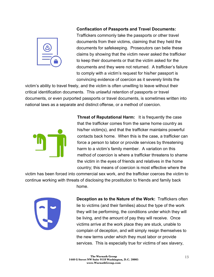

#### **Confiscation of Passports and Travel Documents:**

Traffickers commonly take the passports or other travel documents from their victims, claiming that they held the documents for safekeeping. Prosecutors can belie these claims by showing that the victim never asked the trafficker to keep their documents or that the victim asked for the documents and they were not returned. A trafficker's failure to comply with a victim's request for his/her passport is convincing evidence of coercion as it severely limits the

victim's ability to travel freely, and the victim is often unwilling to leave without their critical identification documents. This unlawful retention of passports or travel documents, or even purported passports or travel documents, is sometimes written into national laws as a separate and distinct offense, or a method of coercion.



**Threat of Reputational Harm:** It is frequently the case that the trafficker comes from the same home country as his/her victim(s), and that the trafficker maintains powerful contacts back home. When this is the case, a trafficker can force a person to labor or provide services by threatening harm to a victim's family member. A variation on this method of coercion is where a trafficker threatens to shame the victim in the eyes of friends and relatives in the home country; this means of coercion is most effective where the

victim has been forced into commercial sex work, and the trafficker coerces the victim to continue working with threats of disclosing the prostitution to friends and family back home.



**Deception as to the Nature of the Work:** Traffickers often lie to victims (and their families) about the type of the work they will be performing, the conditions under which they will be living, and the amount of pay they will receive. Once victims arrive at the work place they are stuck, unable to complain of deception, and will simply resign themselves to the new terms under which they must labor or provide services. This is especially true for victims of sex slavery,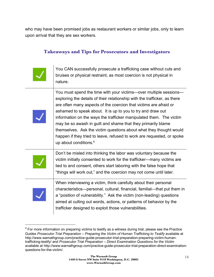who may have been promised jobs as restaurant workers or similar jobs, only to learn upon arrival that they are sex workers.

## **Takeaways and Tips for Prosecutors and Investigators**

| You CAN successfully prosecute a trafficking case without cuts and<br>bruises or physical restraint, as most coercion is not physical in<br>nature.                                                                                                                                                                                                                                                                                                                                                                                                                                                            |
|----------------------------------------------------------------------------------------------------------------------------------------------------------------------------------------------------------------------------------------------------------------------------------------------------------------------------------------------------------------------------------------------------------------------------------------------------------------------------------------------------------------------------------------------------------------------------------------------------------------|
| You must spend the time with your victims-over multiple sessions-<br>exploring the details of their relationship with the trafficker, as there<br>are often many aspects of the coercion that victims are afraid or<br>ashamed to speak about. It is up to you to try and draw out<br>information on the ways the trafficker manipulated them. The victim<br>may be so awash in guilt and shame that they primarily blame<br>themselves. Ask the victim questions about what they thought would<br>happen if they tried to leave, refused to work are requested, or spoke<br>up about conditions. <sup>4</sup> |
| Don't be misled into thinking the labor was voluntary because the<br>victim initially consented to work for the trafficker—many victims are<br>lied to and consent, others start laboring with the false hope that<br>"things will work out," and the coercion may not come until later.                                                                                                                                                                                                                                                                                                                       |
| When interviewing a victim, think carefully about their personal<br>characteristics—personal, cultural, financial, familial—that put them in<br>a "position of vulnerability." Ask the victim (non-leading) questions<br>aimed at culling out words, actions, or patterns of behavior by the<br>trafficker designed to exploit those vulnerabilities.                                                                                                                                                                                                                                                          |

 $\overline{\phantom{a}}$ 

<sup>&</sup>lt;sup>4</sup> For more information on preparing victims to testify as a witness during trial, please see the Practice Guides Prosecutor Trial Preparation - Preparing the Victim of Human Trafficking to Testify available at http://www.warnathgroup.com/practice-guide-prosecutor-trial-preparation-preparing-victim-humantrafficking-testify/ and *Prosecutor Trial Preparation – Direct Examination Questions for the Victim* available at http://www.warnathgroup.com/practice-guide-prosecutor-trial-preparation-direct-examinationquestions-for-the-victim/.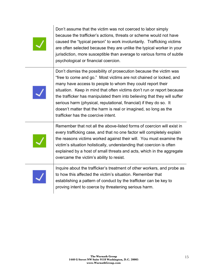Don't assume that the victim was not coerced to labor simply because the trafficker's actions, threats or scheme would not have caused the "typical person" to work involuntarily. Trafficking victims are often selected because they are unlike the typical worker in your jurisdiction, more susceptible than average to various forms of subtle psychological or financial coercion.



Don't dismiss the possibility of prosecution because the victim was "free to come and go." Most victims are not chained or locked, and many have access to people to whom they could report their situation. Keep in mind that often victims don't run or report because the trafficker has manipulated them into believing that they will suffer serious harm (physical, reputational, financial) if they do so. It doesn't matter that the harm is real or imagined, so long as the trafficker has the coercive intent.



Remember that not all the above-listed forms of coercion will exist in every trafficking case, and that no one factor will completely explain the reasons victims worked against their will. You must examine the victim's situation holistically, understanding that coercion is often explained by a host of small threats and acts, which in the aggregate overcame the victim's ability to resist.



Inquire about the trafficker's treatment of other workers, and probe as to how this affected the victim's situation. Remember that establishing a pattern of conduct by the trafficker can be key to proving intent to coerce by threatening serious harm.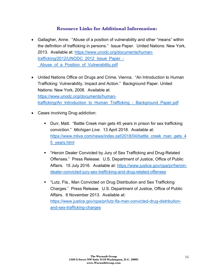## **Resource Links for Additional Information:**

- Gallagher, Anne. "Abuse of a position of vulnerability and other "means" within the definition of trafficking in persons." Issue Paper. United Nations: New York, 2013. Available at: https://www.unodc.org/documents/humantrafficking/2012/UNODC\_2012\_Issue\_Paper\_- Abuse of a Position of Vulnerability.pdf
- United Nations Office on Drugs and Crime, Vienna. "An Introduction to Human Trafficking: Vulnerability, Impact and Action." Background Paper. United Nations: New York, 2008. Available at: https://www.unodc.org/documents/humantrafficking/An\_Introduction\_to\_Human\_Trafficking\_-\_Background\_Paper.pdf
- Cases involving Drug addiction:
	- Durr, Matt. "Battle Creek man gets 45 years in prison for sex trafficking conviction." *Michigan Live*. 13 April 2018. Available at: https://www.mlive.com/news/index.ssf/2018/04/battle\_creek\_man\_gets\_4 5\_years.html
	- "Heroin Dealer Convicted by Jury of Sex Trafficking and Drug-Related Offenses." Press Release. U.S. Department of Justice, Office of Public Affairs. 15 July 2016. Available at: https://www.justice.gov/opa/pr/heroindealer-convicted-jury-sex-trafficking-and-drug-related-offenses
	- "Lutz, Fla., Man Convicted on Drug Distribution and Sex Trafficking Charges." Press Release. U.S. Department of Justice, Office of Public Affairs. 6 November 2013. Available at: https://www.justice.gov/opa/pr/lutz-fla-man-convicted-drug-distributionand-sex-trafficking-charges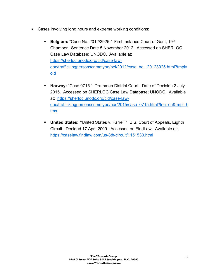- Cases involving long hours and extreme working conditions:
	- **Belgium:** "Case No. 2012/3925." First Instance Court of Gent, 19th Chamber. Sentence Date 5 November 2012. Accessed on SHERLOC Case Law Database; UNODC. Available at: https://sherloc.unodc.org/cld/case-lawdoc/traffickingpersonscrimetype/bel/2012/case\_no.\_20123925.html?tmpl= old
	- **Norway:** "Case 0715." Drammen District Court. Date of Decision 2 July 2015. Accessed on SHERLOC Case Law Database; UNODC. Available at: https://sherloc.unodc.org/cld/case-lawdoc/traffickingpersonscrimetype/nor/2015/case\_0715.html?lng=en&tmpl=h tms
	- § **United States: "**United States v. Farrell." U.S. Court of Appeals, Eighth Circuit. Decided 17 April 2009. Accessed on FindLaw. Available at: https://caselaw.findlaw.com/us-8th-circuit/1151530.html